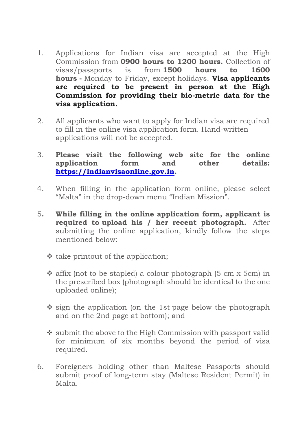- 1. Applications for Indian visa are accepted at the High Commission from **0900 hours to 1200 hours.** Collection of visas/passports is from **1500 hours to 1600 hours -** Monday to Friday, except holidays. **Visa applicants are required to be present in person at the High Commission for providing their bio-metric data for the visa application.**
- 2. All applicants who want to apply for Indian visa are required to fill in the online visa application form. Hand-written applications will not be accepted.
- 3. **Please visit the following web site for the online application form and other details: [https://indianvisaonline.gov.in.](https://indianvisaonline.gov.in/)**
- 4. When filling in the application form online, please select "Malta" in the drop-down menu "Indian Mission".
- 5**. While filling in the online application form, applicant is required to upload his / her recent photograph.** After submitting the online application, kindly follow the steps mentioned below:
	- ❖ take printout of the application;
	- ❖ affix (not to be stapled) a colour photograph (5 cm x 5cm) in the prescribed box (photograph should be identical to the one uploaded online);
	- ❖ sign the application (on the 1st page below the photograph and on the 2nd page at bottom); and
	- ❖ submit the above to the High Commission with passport valid for minimum of six months beyond the period of visa required.
- 6. Foreigners holding other than Maltese Passports should submit proof of long-term stay (Maltese Resident Permit) in Malta.